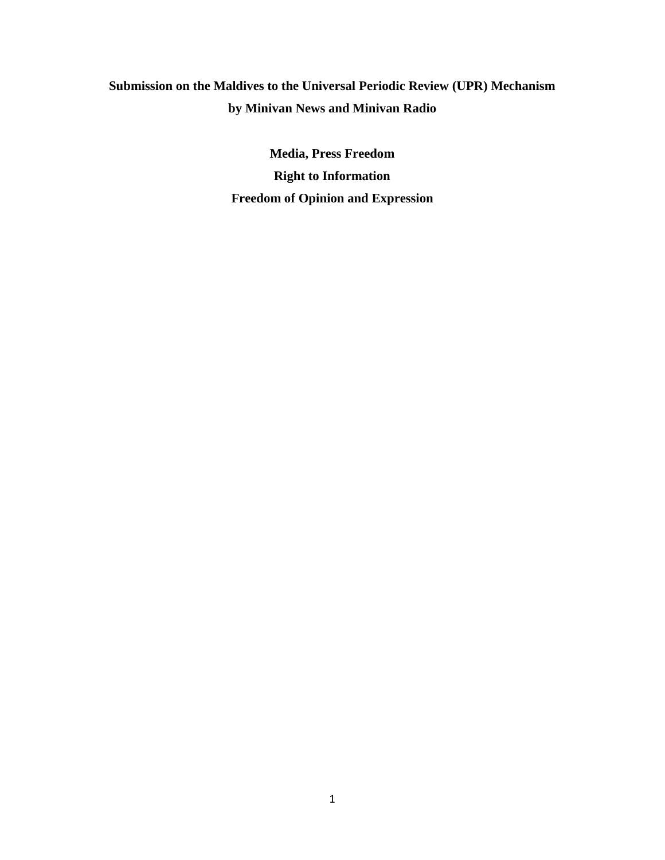# **Submission on the Maldives to the Universal Periodic Review (UPR) Mechanism by Minivan News and Minivan Radio**

**Media, Press Freedom Right to Information Freedom of Opinion and Expression**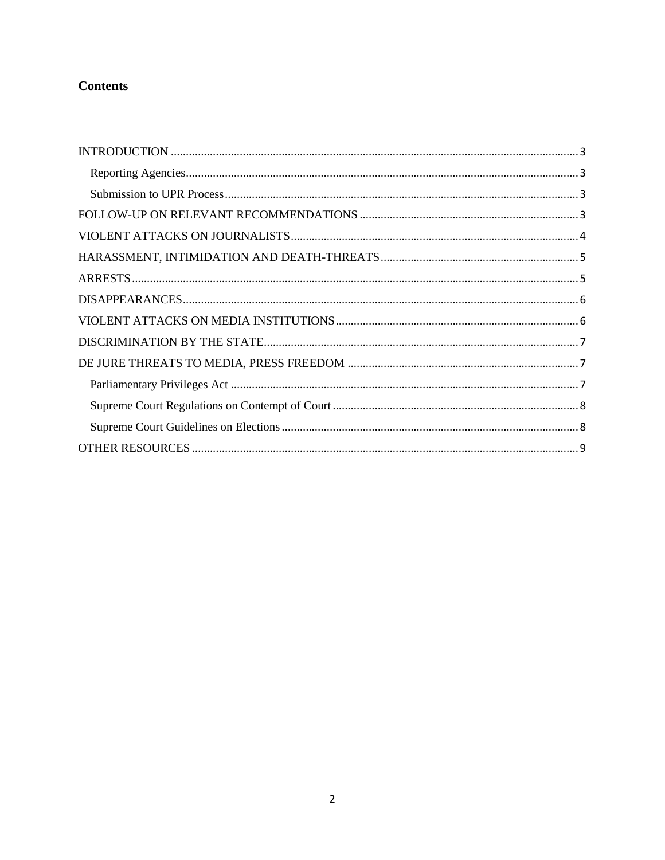## **Contents**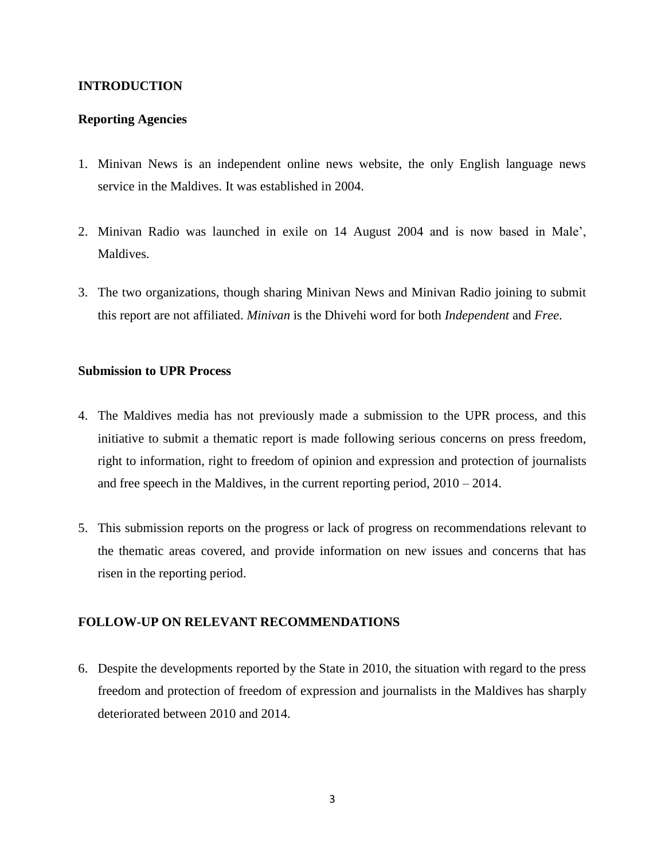## <span id="page-2-0"></span>**INTRODUCTION**

## <span id="page-2-1"></span>**Reporting Agencies**

- 1. Minivan News is an independent online news website, the only English language news service in the Maldives. It was established in 2004.
- 2. Minivan Radio was launched in exile on 14 August 2004 and is now based in Male', Maldives.
- 3. The two organizations, though sharing Minivan News and Minivan Radio joining to submit this report are not affiliated. *Minivan* is the Dhivehi word for both *Independent* and *Free*.

#### <span id="page-2-2"></span>**Submission to UPR Process**

- 4. The Maldives media has not previously made a submission to the UPR process, and this initiative to submit a thematic report is made following serious concerns on press freedom, right to information, right to freedom of opinion and expression and protection of journalists and free speech in the Maldives, in the current reporting period, 2010 – 2014.
- 5. This submission reports on the progress or lack of progress on recommendations relevant to the thematic areas covered, and provide information on new issues and concerns that has risen in the reporting period.

## <span id="page-2-3"></span>**FOLLOW-UP ON RELEVANT RECOMMENDATIONS**

6. Despite the developments reported by the State in 2010, the situation with regard to the press freedom and protection of freedom of expression and journalists in the Maldives has sharply deteriorated between 2010 and 2014.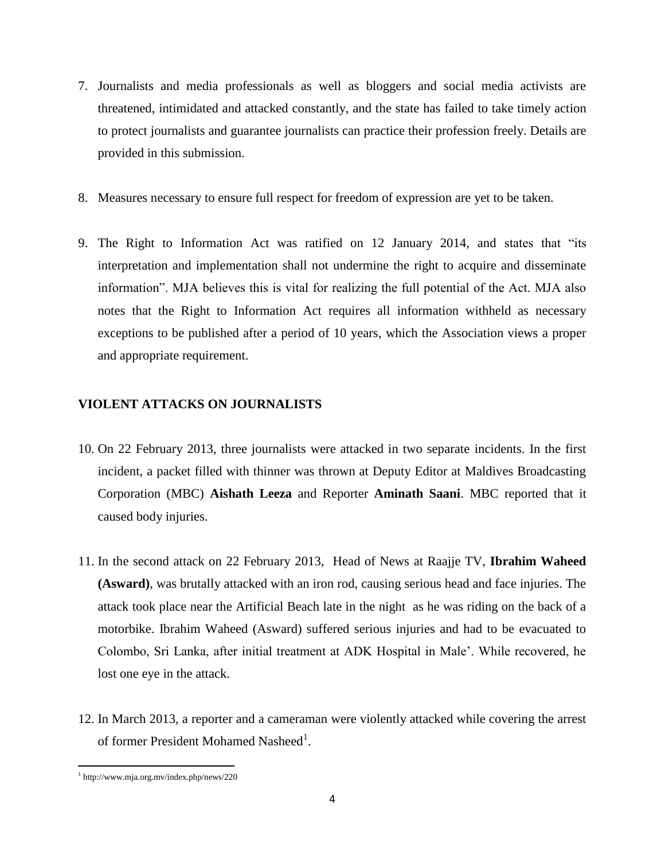- 7. Journalists and media professionals as well as bloggers and social media activists are threatened, intimidated and attacked constantly, and the state has failed to take timely action to protect journalists and guarantee journalists can practice their profession freely. Details are provided in this submission.
- 8. Measures necessary to ensure full respect for freedom of expression are yet to be taken.
- 9. The Right to Information Act was ratified on 12 January 2014, and states that "its interpretation and implementation shall not undermine the right to acquire and disseminate information". MJA believes this is vital for realizing the full potential of the Act. MJA also notes that the Right to Information Act requires all information withheld as necessary exceptions to be published after a period of 10 years, which the Association views a proper and appropriate requirement.

## <span id="page-3-0"></span>**VIOLENT ATTACKS ON JOURNALISTS**

- 10. On 22 February 2013, three journalists were attacked in two separate incidents. In the first incident, a packet filled with thinner was thrown at Deputy Editor at Maldives Broadcasting Corporation (MBC) **Aishath Leeza** and Reporter **Aminath Saani**. MBC reported that it caused body injuries.
- 11. In the second attack on 22 February 2013, Head of News at Raajje TV, **Ibrahim Waheed (Asward)**, was brutally attacked with an iron rod, causing serious head and face injuries. The attack took place near the Artificial Beach late in the night as he was riding on the back of a motorbike. Ibrahim Waheed (Asward) suffered serious injuries and had to be evacuated to Colombo, Sri Lanka, after initial treatment at ADK Hospital in Male'. While recovered, he lost one eye in the attack.
- 12. In March 2013, a reporter and a cameraman were violently attacked while covering the arrest of former President Mohamed Nasheed<sup>1</sup>.

 1 http://www.mja.org.mv/index.php/news/220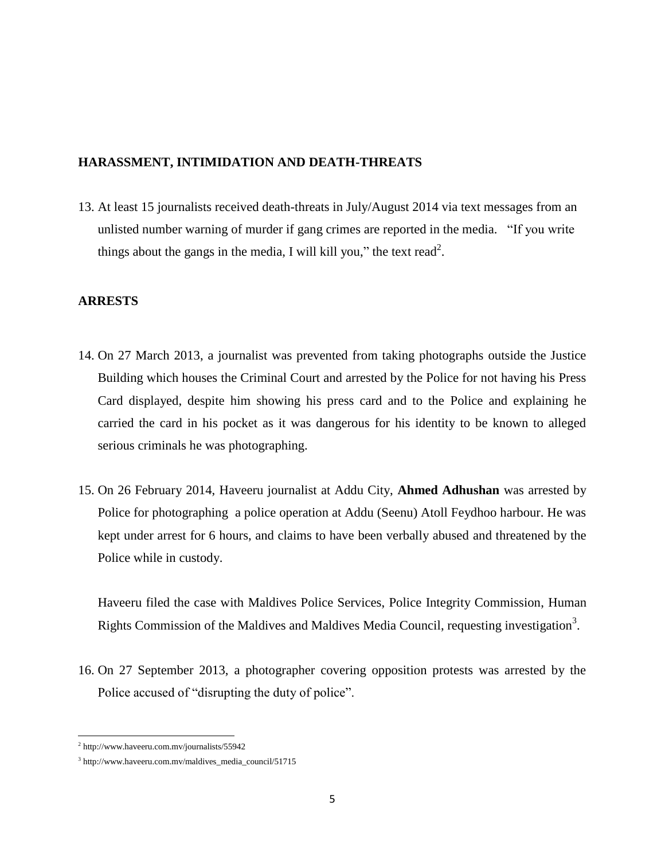#### <span id="page-4-0"></span>**HARASSMENT, INTIMIDATION AND DEATH-THREATS**

13. At least 15 journalists received death-threats in July/August 2014 via text messages from an unlisted number warning of murder if gang crimes are reported in the media. "If you write things about the gangs in the media, I will kill you," the text read<sup>2</sup>.

#### <span id="page-4-1"></span>**ARRESTS**

- 14. On 27 March 2013, a journalist was prevented from taking photographs outside the Justice Building which houses the Criminal Court and arrested by the Police for not having his Press Card displayed, despite him showing his press card and to the Police and explaining he carried the card in his pocket as it was dangerous for his identity to be known to alleged serious criminals he was photographing.
- 15. On 26 February 2014, Haveeru journalist at Addu City, **Ahmed Adhushan** was arrested by Police for photographing a police operation at Addu (Seenu) Atoll Feydhoo harbour. He was kept under arrest for 6 hours, and claims to have been verbally abused and threatened by the Police while in custody.

Haveeru filed the case with Maldives Police Services, Police Integrity Commission, Human Rights Commission of the Maldives and Maldives Media Council, requesting investigation<sup>3</sup>.

16. On 27 September 2013, a photographer covering opposition protests was arrested by the Police accused of "disrupting the duty of police".

 2 http://www.haveeru.com.mv/journalists/55942

<sup>3</sup> [http://www.haveeru.com.mv/maldives\\_media\\_council/51715](http://www.haveeru.com.mv/maldives_media_council/51715)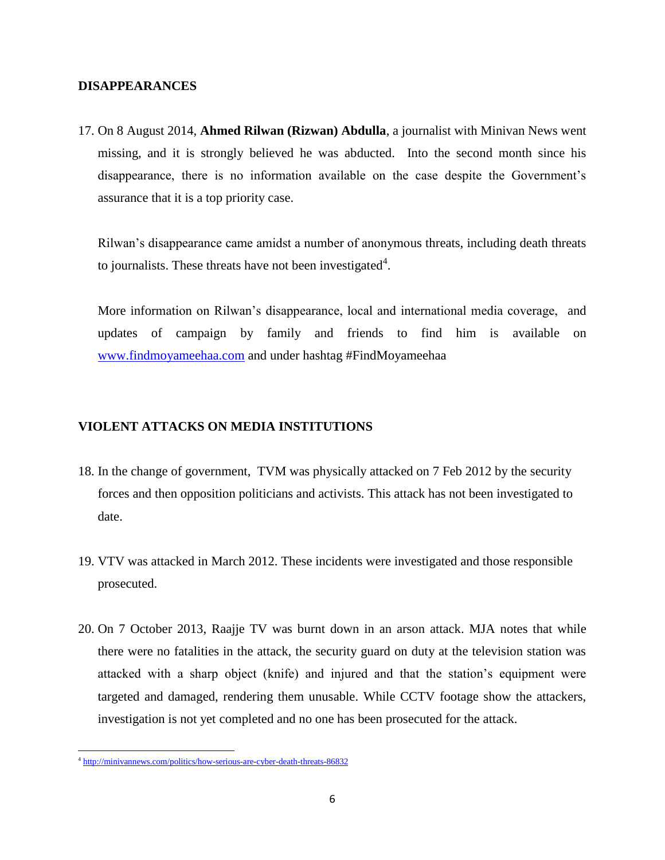#### <span id="page-5-0"></span>**DISAPPEARANCES**

17. On 8 August 2014, **Ahmed Rilwan (Rizwan) Abdulla**, a journalist with Minivan News went missing, and it is strongly believed he was abducted. Into the second month since his disappearance, there is no information available on the case despite the Government's assurance that it is a top priority case.

Rilwan's disappearance came amidst a number of anonymous threats, including death threats to journalists. These threats have not been investigated<sup>4</sup>.

More information on Rilwan's disappearance, local and international media coverage, and updates of campaign by family and friends to find him is available on [www.findmoyameehaa.com](http://www.findmoyameehaa.com/) and under hashtag #FindMoyameehaa

## <span id="page-5-1"></span>**VIOLENT ATTACKS ON MEDIA INSTITUTIONS**

- 18. In the change of government, TVM was physically attacked on 7 Feb 2012 by the security forces and then opposition politicians and activists. This attack has not been investigated to date.
- 19. VTV was attacked in March 2012. These incidents were investigated and those responsible prosecuted.
- 20. On 7 October 2013, Raajje TV was burnt down in an arson attack. MJA notes that while there were no fatalities in the attack, the security guard on duty at the television station was attacked with a sharp object (knife) and injured and that the station's equipment were targeted and damaged, rendering them unusable. While CCTV footage show the attackers, investigation is not yet completed and no one has been prosecuted for the attack.

 4 <http://minivannews.com/politics/how-serious-are-cyber-death-threats-86832>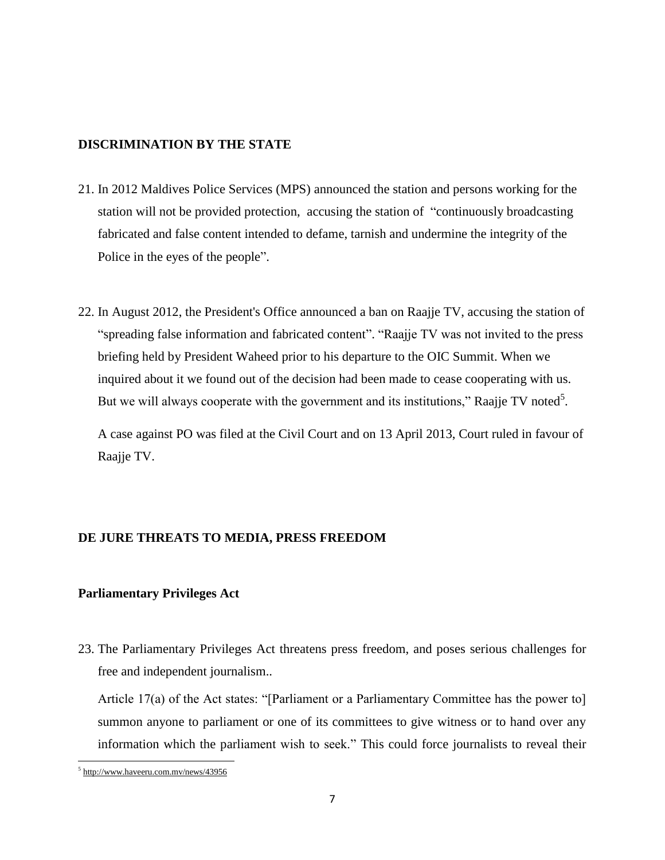#### <span id="page-6-0"></span>**DISCRIMINATION BY THE STATE**

- 21. In 2012 Maldives Police Services (MPS) announced the station and persons working for the station will not be provided protection, accusing the station of "continuously broadcasting fabricated and false content intended to defame, tarnish and undermine the integrity of the Police in the eyes of the people".
- 22. In August 2012, the President's Office announced a ban on Raajje TV, accusing the station of "spreading false information and fabricated content". "Raajje TV was not invited to the press briefing held by President Waheed prior to his departure to the OIC Summit. When we inquired about it we found out of the decision had been made to cease cooperating with us. But we will always cooperate with the government and its institutions," Raajje TV noted<sup>5</sup>.

A case against PO was filed at the Civil Court and on 13 April 2013, Court ruled in favour of Raajje TV.

## <span id="page-6-1"></span>**DE JURE THREATS TO MEDIA, PRESS FREEDOM**

#### <span id="page-6-2"></span>**Parliamentary Privileges Act**

23. The Parliamentary Privileges Act threatens press freedom, and poses serious challenges for free and independent journalism..

Article 17(a) of the Act states: "[Parliament or a Parliamentary Committee has the power to] summon anyone to parliament or one of its committees to give witness or to hand over any information which the parliament wish to seek." This could force journalists to reveal their

<sup>&</sup>lt;sup>5</sup> http://www.haveeru.com.mv/news/43956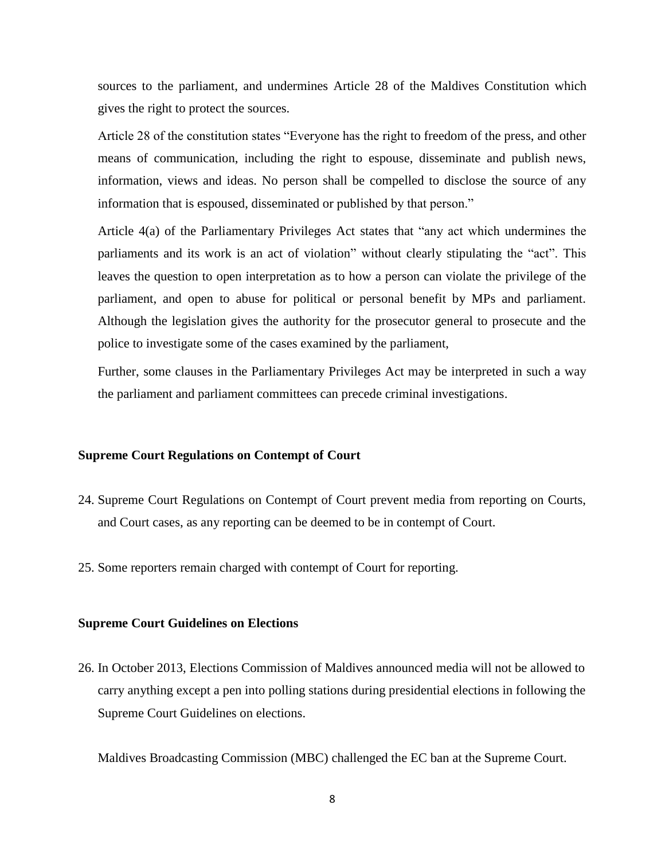sources to the parliament, and undermines Article 28 of the Maldives Constitution which gives the right to protect the sources.

Article 28 of the constitution states "Everyone has the right to freedom of the press, and other means of communication, including the right to espouse, disseminate and publish news, information, views and ideas. No person shall be compelled to disclose the source of any information that is espoused, disseminated or published by that person."

Article 4(a) of the Parliamentary Privileges Act states that "any act which undermines the parliaments and its work is an act of violation" without clearly stipulating the "act". This leaves the question to open interpretation as to how a person can violate the privilege of the parliament, and open to abuse for political or personal benefit by MPs and parliament. Although the legislation gives the authority for the prosecutor general to prosecute and the police to investigate some of the cases examined by the parliament,

Further, some clauses in the Parliamentary Privileges Act may be interpreted in such a way the parliament and parliament committees can precede criminal investigations.

#### <span id="page-7-0"></span>**Supreme Court Regulations on Contempt of Court**

- 24. Supreme Court Regulations on Contempt of Court prevent media from reporting on Courts, and Court cases, as any reporting can be deemed to be in contempt of Court.
- 25. Some reporters remain charged with contempt of Court for reporting.

#### <span id="page-7-1"></span>**Supreme Court Guidelines on Elections**

26. In October 2013, Elections Commission of Maldives announced media will not be allowed to carry anything except a pen into polling stations during presidential elections in following the Supreme Court Guidelines on elections.

Maldives Broadcasting Commission (MBC) challenged the EC ban at the Supreme Court.